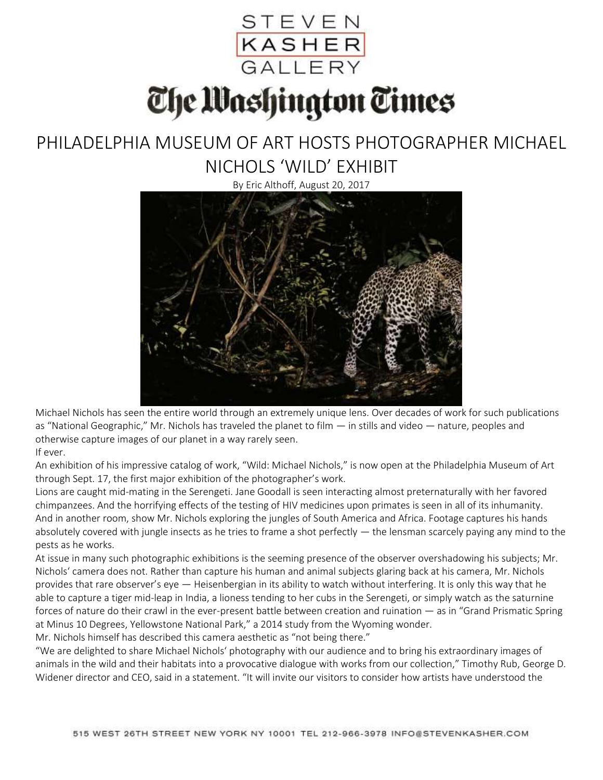

The Mashington Times

## PHILADELPHIA MUSEUM OF ART HOSTS PHOTOGRAPHER MICHAEL NICHOLS 'WILD' EXHIBIT

By Eric Althoff, August 20, 2017



Michael Nichols has seen the entire world through an extremely unique lens. Over decades of work for such publications as "National Geographic," Mr. Nichols has traveled the planet to film — in stills and video — nature, peoples and otherwise capture images of our planet in a way rarely seen. If ever.

An exhibition of his impressive catalog of work, "Wild: Michael Nichols," is now open at the Philadelphia Museum of Art through Sept. 17, the first major exhibition of the photographer's work.

Lions are caught mid-mating in the Serengeti. Jane Goodall is seen interacting almost preternaturally with her favored chimpanzees. And the horrifying effects of the testing of HIV medicines upon primates is seen in all of its inhumanity. And in another room, show Mr. Nichols exploring the jungles of South America and Africa. Footage captures his hands absolutely covered with jungle insects as he tries to frame a shot perfectly — the lensman scarcely paying any mind to the pests as he works.

At issue in many such photographic exhibitions is the seeming presence of the observer overshadowing his subjects; Mr. Nichols' camera does not. Rather than capture his human and animal subjects glaring back at his camera, Mr. Nichols provides that rare observer's eye — Heisenbergian in its ability to watch without interfering. It is only this way that he able to capture a tiger mid-leap in India, a lioness tending to her cubs in the Serengeti, or simply watch as the saturnine forces of nature do their crawl in the ever-present battle between creation and ruination — as in "Grand Prismatic Spring at Minus 10 Degrees, Yellowstone National Park," a 2014 study from the Wyoming wonder.

Mr. Nichols himself has described this camera aesthetic as "not being there."

"We are delighted to share Michael Nichols' photography with our audience and to bring his extraordinary images of animals in the wild and their habitats into a provocative dialogue with works from our collection," Timothy Rub, George D. Widener director and CEO, said in a statement. "It will invite our visitors to consider how artists have understood the